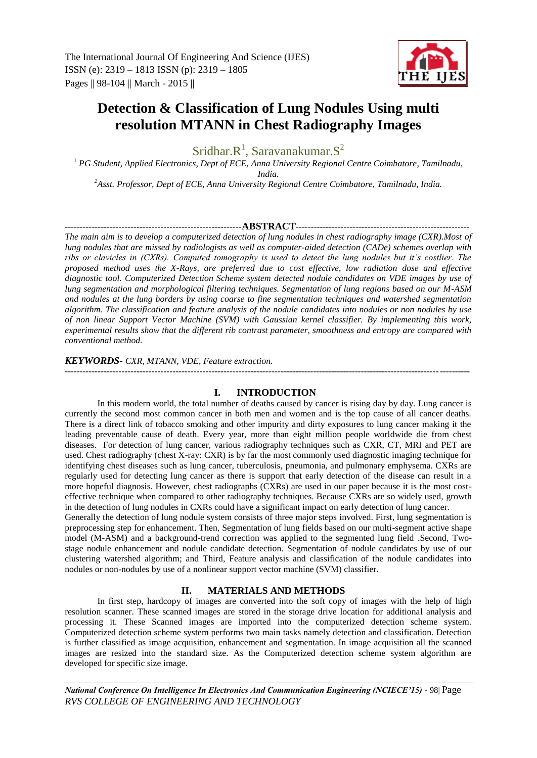

# **Detection & Classification of Lung Nodules Using multi resolution MTANN in Chest Radiography Images**

Sridhar. $R^1$ , Saravanakumar. $S^2$ 

<sup>1</sup> *PG Student, Applied Electronics, Dept of ECE, Anna University Regional Centre Coimbatore, Tamilnadu, India.*

*<sup>2</sup>Asst. Professor, Dept of ECE, Anna University Regional Centre Coimbatore, Tamilnadu, India.*

# -----------------------------------------------------------**ABSTRACT**----------------------------------------------------------

*The main aim is to develop a computerized detection of lung nodules in chest radiography image (CXR).Most of lung nodules that are missed by radiologists as well as computer-aided detection (CADe) schemes overlap with ribs or clavicles in (CXRs). Computed tomography is used to detect the lung nodules but it's costlier. The proposed method uses the X-Rays, are preferred due to cost effective, low radiation dose and effective diagnostic tool. Computerized Detection Scheme system detected nodule candidates on VDE images by use of lung segmentation and morphological filtering techniques. Segmentation of lung regions based on our M-ASM and nodules at the lung borders by using coarse to fine segmentation techniques and watershed segmentation algorithm. The classification and feature analysis of the nodule candidates into nodules or non nodules by use of non linear Support Vector Machine (SVM) with Gaussian kernel classifier. By implementing this work, experimental results show that the different rib contrast parameter, smoothness and entropy are compared with conventional method.*

*KEYWORDS- CXR, MTANN, VDE, Feature extraction.*

# --------------------------------------------------------------------------------------------------------------------------------------- **I. INTRODUCTION**

In this modern world, the total number of deaths caused by cancer is rising day by day. Lung cancer is currently the second most common cancer in both men and women and is the top cause of all cancer deaths. There is a direct link of tobacco smoking and other impurity and dirty exposures to lung cancer making it the leading preventable cause of death. Every year, more than eight million people worldwide die from chest diseases. For detection of lung cancer, various radiography techniques such as CXR, CT, MRI and PET are used. Chest radiography (chest X-ray: CXR) is by far the most commonly used diagnostic imaging technique for identifying chest diseases such as lung cancer, tuberculosis, pneumonia, and pulmonary emphysema. CXRs are regularly used for detecting lung cancer as there is support that early detection of the disease can result in a more hopeful diagnosis. However, chest radiographs (CXRs) are used in our paper because it is the most costeffective technique when compared to other radiography techniques. Because CXRs are so widely used, growth in the detection of lung nodules in CXRs could have a significant impact on early detection of lung cancer.

Generally the detection of lung nodule system consists of three major steps involved. First, lung segmentation is preprocessing step for enhancement. Then, Segmentation of lung fields based on our multi-segment active shape model (M-ASM) and a background-trend correction was applied to the segmented lung field .Second, Twostage nodule enhancement and nodule candidate detection. Segmentation of nodule candidates by use of our clustering watershed algorithm; and Third, Feature analysis and classification of the nodule candidates into nodules or non-nodules by use of a nonlinear support vector machine (SVM) classifier.

# **II. MATERIALS AND METHODS**

In first step, hardcopy of images are converted into the soft copy of images with the help of high resolution scanner. These scanned images are stored in the storage drive location for additional analysis and processing it. These Scanned images are imported into the computerized detection scheme system. Computerized detection scheme system performs two main tasks namely detection and classification. Detection is further classified as image acquisition, enhancement and segmentation. In image acquisition all the scanned images are resized into the standard size. As the Computerized detection scheme system algorithm are developed for specific size image.

*National Conference On Intelligence In Electronics And Communication Engineering (NCIECE'15) -* 98| Page *RVS COLLEGE OF ENGINEERING AND TECHNOLOGY*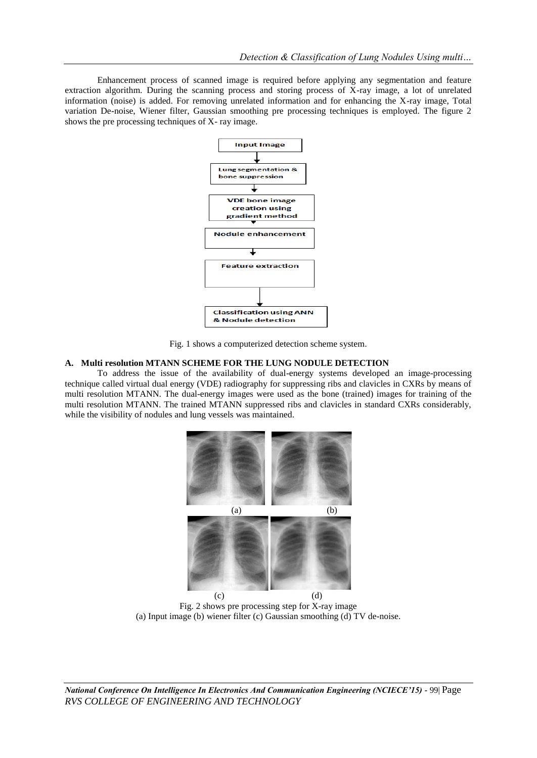Enhancement process of scanned image is required before applying any segmentation and feature extraction algorithm. During the scanning process and storing process of X-ray image, a lot of unrelated information (noise) is added. For removing unrelated information and for enhancing the X-ray image, Total variation De-noise, Wiener filter, Gaussian smoothing pre processing techniques is employed. The figure 2 shows the pre processing techniques of X- ray image.



Fig. 1 shows a computerized detection scheme system.

#### **A. Multi resolution MTANN SCHEME FOR THE LUNG NODULE DETECTION**

To address the issue of the availability of dual-energy systems developed an image-processing technique called virtual dual energy (VDE) radiography for suppressing ribs and clavicles in CXRs by means of multi resolution MTANN. The dual-energy images were used as the bone (trained) images for training of the multi resolution MTANN. The trained MTANN suppressed ribs and clavicles in standard CXRs considerably, while the visibility of nodules and lung vessels was maintained.



Fig. 2 shows pre processing step for X-ray image (a) Input image (b) wiener filter (c) Gaussian smoothing (d) TV de-noise.

*National Conference On Intelligence In Electronics And Communication Engineering (NCIECE'15) -* 99| Page *RVS COLLEGE OF ENGINEERING AND TECHNOLOGY*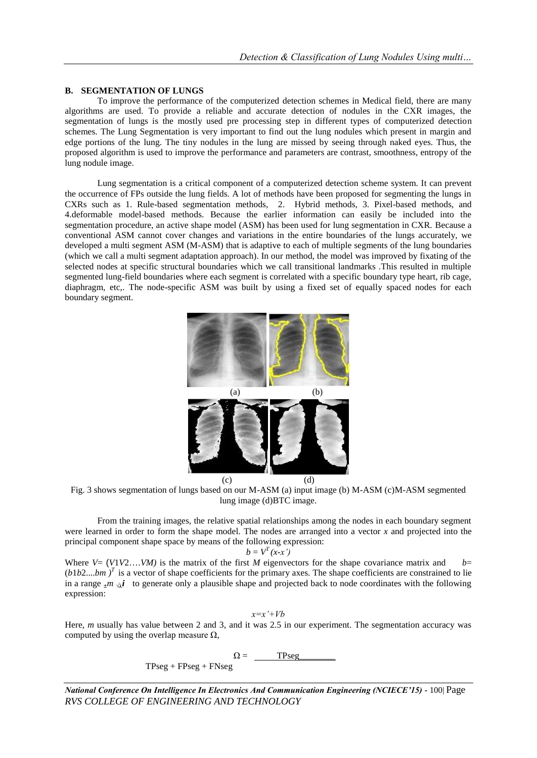#### **B. SEGMENTATION OF LUNGS**

To improve the performance of the computerized detection schemes in Medical field, there are many algorithms are used. To provide a reliable and accurate detection of nodules in the CXR images, the segmentation of lungs is the mostly used pre processing step in different types of computerized detection schemes. The Lung Segmentation is very important to find out the lung nodules which present in margin and edge portions of the lung. The tiny nodules in the lung are missed by seeing through naked eyes. Thus, the proposed algorithm is used to improve the performance and parameters are contrast, smoothness, entropy of the lung nodule image.

Lung segmentation is a critical component of a computerized detection scheme system. It can prevent the occurrence of FPs outside the lung fields. A lot of methods have been proposed for segmenting the lungs in CXRs such as 1. Rule-based segmentation methods, 2. Hybrid methods, 3. Pixel-based methods, and 4.deformable model-based methods. Because the earlier information can easily be included into the segmentation procedure, an active shape model (ASM) has been used for lung segmentation in CXR. Because a conventional ASM cannot cover changes and variations in the entire boundaries of the lungs accurately, we developed a multi segment ASM (M-ASM) that is adaptive to each of multiple segments of the lung boundaries (which we call a multi segment adaptation approach). In our method, the model was improved by fixating of the selected nodes at specific structural boundaries which we call transitional landmarks .This resulted in multiple segmented lung-field boundaries where each segment is correlated with a specific boundary type heart, rib cage, diaphragm, etc,. The node-specific ASM was built by using a fixed set of equally spaced nodes for each boundary segment.



Fig. 3 shows segmentation of lungs based on our M-ASM (a) input image (b) M-ASM (c)M-ASM segmented lung image (d)BTC image.

From the training images, the relative spatial relationships among the nodes in each boundary segment were learned in order to form the shape model. The nodes are arranged into a vector *x* and projected into the principal component shape space by means of the following expression:

$$
b = V^T(x-x')
$$

Where  $V = (V_1 V_2 \dots V_M)$  is the matrix of the first *M* eigenvectors for the shape covariance matrix and *b*=  $(b1b2...bm)^T$  is a vector of shape coefficients for the primary axes. The shape coefficients are constrained to lie in a range  $\cdot$ *m*  $\sqrt{2}i$  to generate only a plausible shape and projected back to node coordinates with the following expression:

*x=x'+Vb*

Here, *m* usually has value between 2 and 3, and it was 2.5 in our experiment. The segmentation accuracy was computed by using the overlap measure  $\Omega$ ,

 $\Omega =$  TPseg

 $TPseg + FPseg + FNseg$ 

*National Conference On Intelligence In Electronics And Communication Engineering (NCIECE'15) -* 100| Page *RVS COLLEGE OF ENGINEERING AND TECHNOLOGY*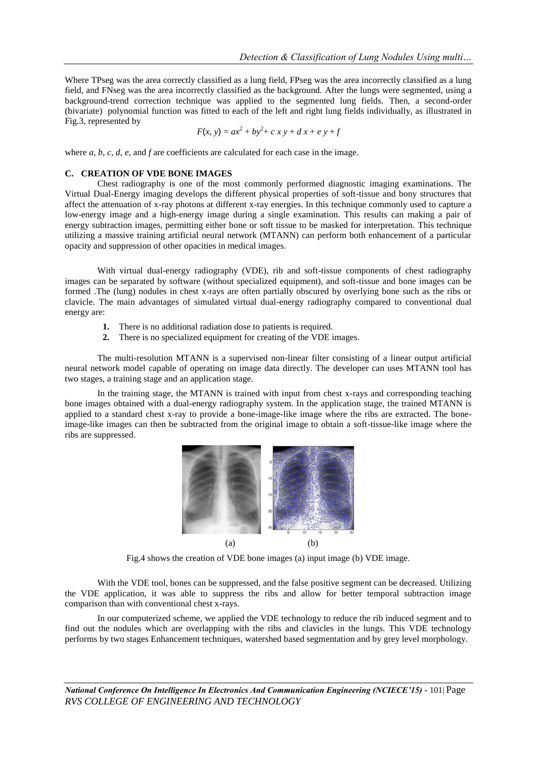Where TPseg was the area correctly classified as a lung field, FPseg was the area incorrectly classified as a lung field, and FNseg was the area incorrectly classified as the background. After the lungs were segmented, using a background-trend correction technique was applied to the segmented lung fields. Then, a second-order (bivariate) polynomial function was fitted to each of the left and right lung fields individually, as illustrated in Fig.3, represented by

$$
F(x, y) = ax^2 + by^2 + c x y + d x + e y + f
$$

where *a*, *b*, *c*, *d*, *e*, and *f* are coefficients are calculated for each case in the image.

### **C. CREATION OF VDE BONE IMAGES**

Chest radiography is one of the most commonly performed diagnostic imaging examinations. The Virtual Dual-Energy imaging develops the different physical properties of soft-tissue and bony structures that affect the attenuation of x-ray photons at different x-ray energies. In this technique commonly used to capture a low-energy image and a high-energy image during a single examination. This results can making a pair of energy subtraction images, permitting either bone or soft tissue to be masked for interpretation. This technique utilizing a massive training artificial neural network (MTANN) can perform both enhancement of a particular opacity and suppression of other opacities in medical images.

With virtual dual-energy radiography (VDE), rib and soft-tissue components of chest radiography images can be separated by software (without specialized equipment), and soft-tissue and bone images can be formed .The (lung) nodules in chest x-rays are often partially obscured by overlying bone such as the ribs or clavicle. The main advantages of simulated virtual dual-energy radiography compared to conventional dual energy are:

- **1.** There is no additional radiation dose to patients is required.
- **2.** There is no specialized equipment for creating of the VDE images.

The multi-resolution MTANN is a supervised non-linear filter consisting of a linear output artificial neural network model capable of operating on image data directly. The developer can uses MTANN tool has two stages, a training stage and an application stage.

In the training stage, the MTANN is trained with input from chest x-rays and corresponding teaching bone images obtained with a dual-energy radiography system. In the application stage, the trained MTANN is applied to a standard chest x-ray to provide a bone-image-like image where the ribs are extracted. The boneimage-like images can then be subtracted from the original image to obtain a soft-tissue-like image where the ribs are suppressed.



Fig.4 shows the creation of VDE bone images (a) input image (b) VDE image.

With the VDE tool, bones can be suppressed, and the false positive segment can be decreased. Utilizing the VDE application, it was able to suppress the ribs and allow for better temporal subtraction image comparison than with conventional chest x-rays.

In our computerized scheme, we applied the VDE technology to reduce the rib induced segment and to find out the nodules which are overlapping with the ribs and clavicles in the lungs. This VDE technology performs by two stages Enhancement techniques, watershed based segmentation and by grey level morphology.

*National Conference On Intelligence In Electronics And Communication Engineering (NCIECE'15) -* 101| Page *RVS COLLEGE OF ENGINEERING AND TECHNOLOGY*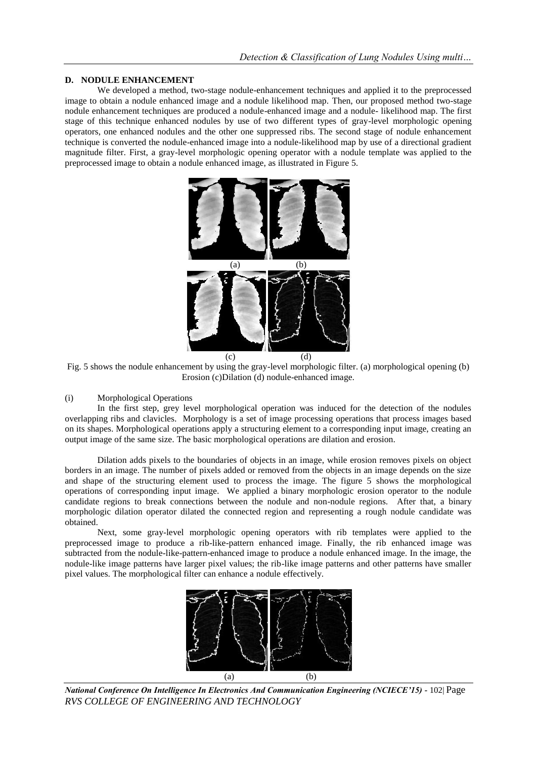#### **D. NODULE ENHANCEMENT**

We developed a method, two-stage nodule-enhancement techniques and applied it to the preprocessed image to obtain a nodule enhanced image and a nodule likelihood map. Then, our proposed method two-stage nodule enhancement techniques are produced a nodule-enhanced image and a nodule- likelihood map. The first stage of this technique enhanced nodules by use of two different types of gray-level morphologic opening operators, one enhanced nodules and the other one suppressed ribs. The second stage of nodule enhancement technique is converted the nodule-enhanced image into a nodule-likelihood map by use of a directional gradient magnitude filter. First, a gray-level morphologic opening operator with a nodule template was applied to the preprocessed image to obtain a nodule enhanced image, as illustrated in Figure 5.



Fig. 5 shows the nodule enhancement by using the gray-level morphologic filter. (a) morphological opening (b) Erosion (c)Dilation (d) nodule-enhanced image.

#### (i) Morphological Operations

In the first step, grey level morphological operation was induced for the detection of the nodules overlapping ribs and clavicles. Morphology is a set of image processing operations that process images based on its shapes. Morphological operations apply a structuring element to a corresponding input image, creating an output image of the same size. The basic morphological operations are dilation and erosion.

Dilation adds pixels to the boundaries of objects in an image, while erosion removes pixels on object borders in an image. The number of pixels added or removed from the objects in an image depends on the size and shape of the structuring element used to process the image. The figure 5 shows the morphological operations of corresponding input image. We applied a binary morphologic erosion operator to the nodule candidate regions to break connections between the nodule and non-nodule regions. After that, a binary morphologic dilation operator dilated the connected region and representing a rough nodule candidate was obtained.

Next, some gray-level morphologic opening operators with rib templates were applied to the preprocessed image to produce a rib-like-pattern enhanced image. Finally, the rib enhanced image was subtracted from the nodule-like-pattern-enhanced image to produce a nodule enhanced image. In the image, the nodule-like image patterns have larger pixel values; the rib-like image patterns and other patterns have smaller pixel values. The morphological filter can enhance a nodule effectively.



*National Conference On Intelligence In Electronics And Communication Engineering (NCIECE'15) -* 102| Page *RVS COLLEGE OF ENGINEERING AND TECHNOLOGY*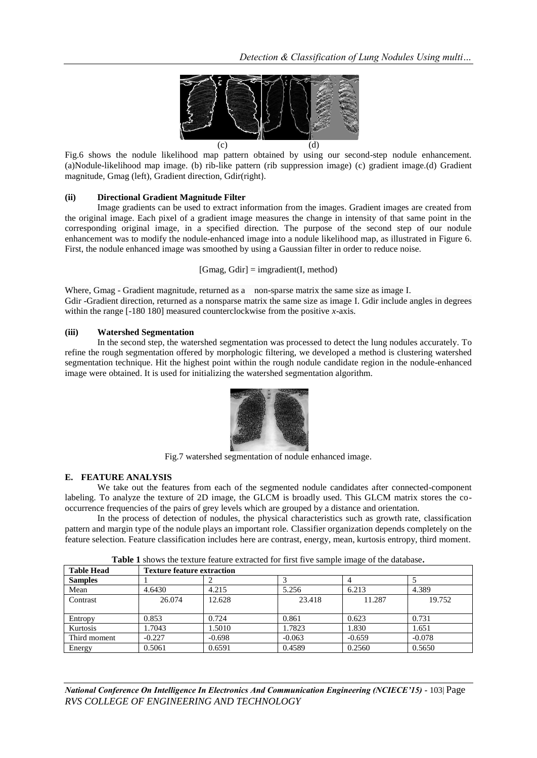

Fig.6 shows the nodule likelihood map pattern obtained by using our second-step nodule enhancement. (a)Nodule-likelihood map image. (b) rib-like pattern (rib suppression image) (c) gradient image.(d) Gradient magnitude, Gmag (left), Gradient direction, Gdir(right).

#### **(ii) Directional Gradient Magnitude Filter**

Image gradients can be used to extract information from the images. Gradient images are created from the original image. Each pixel of a gradient image measures the change in intensity of that same point in the corresponding original image, in a specified direction. The purpose of the second step of our nodule enhancement was to modify the nodule-enhanced image into a nodule likelihood map, as illustrated in Figure 6. First, the nodule enhanced image was smoothed by using a Gaussian filter in order to reduce noise.

 $[Gmag, Gdir] = imgradient(I, method)$ 

Where, Gmag - Gradient magnitude, returned as a non-sparse matrix the same size as image [I.](http://in.mathworks.com/help/images/ref/imgradient.html#inputarg_I) Gdir -Gradient direction, returned as a nonsparse matrix the same size as image [I.](http://in.mathworks.com/help/images/ref/imgradient.html#inputarg_I) Gdir include angles in degrees within the range [-180 180] measured counterclockwise from the positive *x*-axis.

#### **(iii) Watershed Segmentation**

In the second step, the watershed segmentation was processed to detect the lung nodules accurately. To refine the rough segmentation offered by morphologic filtering, we developed a method is clustering watershed segmentation technique. Hit the highest point within the rough nodule candidate region in the nodule-enhanced image were obtained. It is used for initializing the watershed segmentation algorithm.



Fig.7 watershed segmentation of nodule enhanced image.

#### **E. FEATURE ANALYSIS**

We take out the features from each of the segmented nodule candidates after connected-component labeling. To analyze the texture of 2D image, the GLCM is broadly used. This GLCM matrix stores the cooccurrence frequencies of the pairs of grey levels which are grouped by a distance and orientation.

In the process of detection of nodules, the physical characteristics such as growth rate, classification pattern and margin type of the nodule plays an important role. Classifier organization depends completely on the feature selection. Feature classification includes here are contrast, energy, mean, kurtosis entropy, third moment.

| <b>Table Head</b> | <b>Texture feature extraction</b> |          |          |          |          |
|-------------------|-----------------------------------|----------|----------|----------|----------|
| <b>Samples</b>    |                                   |          |          |          |          |
| Mean              | 4.6430                            | 4.215    | 5.256    | 6.213    | 4.389    |
| Contrast          | 26.074                            | 12.628   | 23.418   | 11.287   | 19.752   |
|                   |                                   |          |          |          |          |
| Entropy           | 0.853                             | 0.724    | 0.861    | 0.623    | 0.731    |
| Kurtosis          | 1.7043                            | 1.5010   | 1.7823   | 1.830    | 1.651    |
| Third moment      | $-0.227$                          | $-0.698$ | $-0.063$ | $-0.659$ | $-0.078$ |
| Energy            | 0.5061                            | 0.6591   | 0.4589   | 0.2560   | 0.5650   |

**Table 1** shows the texture feature extracted for first five sample image of the database**.**

*National Conference On Intelligence In Electronics And Communication Engineering (NCIECE'15) -* 103| Page *RVS COLLEGE OF ENGINEERING AND TECHNOLOGY*